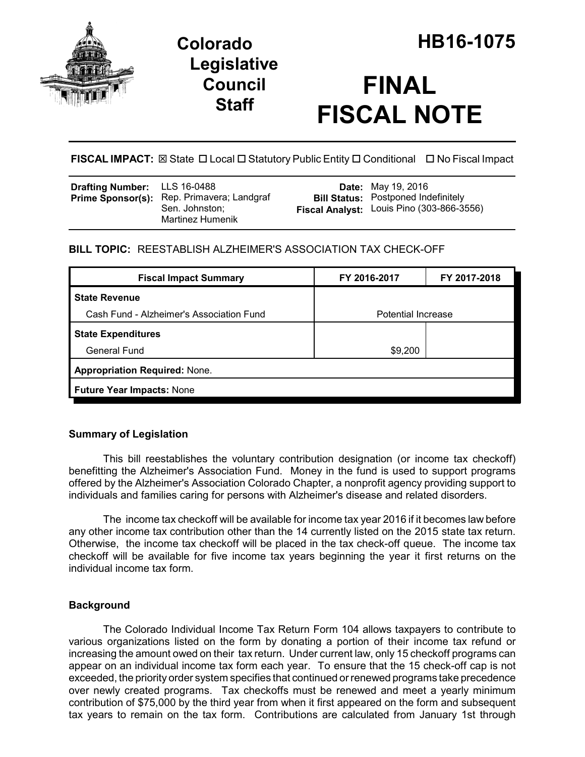

## **Legislative Council Staff**

# **FINAL FISCAL NOTE**

**FISCAL IMPACT:** ⊠ State □ Local □ Statutory Public Entity □ Conditional □ No Fiscal Impact

| <b>Drafting Number:</b> LLS 16-0488 | Prime Sponsor(s): Rep. Primavera; Landgraf<br>Sen. Johnston:<br>Martinez Humenik |  | <b>Date:</b> May 19, 2016<br><b>Bill Status: Postponed Indefinitely</b><br>Fiscal Analyst: Louis Pino (303-866-3556) |
|-------------------------------------|----------------------------------------------------------------------------------|--|----------------------------------------------------------------------------------------------------------------------|
|-------------------------------------|----------------------------------------------------------------------------------|--|----------------------------------------------------------------------------------------------------------------------|

## **BILL TOPIC:** REESTABLISH ALZHEIMER'S ASSOCIATION TAX CHECK-OFF

| <b>Fiscal Impact Summary</b>             | FY 2016-2017       | FY 2017-2018 |  |  |  |
|------------------------------------------|--------------------|--------------|--|--|--|
| <b>State Revenue</b>                     |                    |              |  |  |  |
| Cash Fund - Alzheimer's Association Fund | Potential Increase |              |  |  |  |
| <b>State Expenditures</b>                |                    |              |  |  |  |
| <b>General Fund</b>                      | \$9,200            |              |  |  |  |
| <b>Appropriation Required: None.</b>     |                    |              |  |  |  |
| <b>Future Year Impacts: None</b>         |                    |              |  |  |  |

## **Summary of Legislation**

This bill reestablishes the voluntary contribution designation (or income tax checkoff) benefitting the Alzheimer's Association Fund. Money in the fund is used to support programs offered by the Alzheimer's Association Colorado Chapter, a nonprofit agency providing support to individuals and families caring for persons with Alzheimer's disease and related disorders.

The income tax checkoff will be available for income tax year 2016 if it becomes law before any other income tax contribution other than the 14 currently listed on the 2015 state tax return. Otherwise, the income tax checkoff will be placed in the tax check-off queue. The income tax checkoff will be available for five income tax years beginning the year it first returns on the individual income tax form.

## **Background**

The Colorado Individual Income Tax Return Form 104 allows taxpayers to contribute to various organizations listed on the form by donating a portion of their income tax refund or increasing the amount owed on their tax return. Under current law, only 15 checkoff programs can appear on an individual income tax form each year. To ensure that the 15 check-off cap is not exceeded, the priority order system specifies that continued or renewed programs take precedence over newly created programs. Tax checkoffs must be renewed and meet a yearly minimum contribution of \$75,000 by the third year from when it first appeared on the form and subsequent tax years to remain on the tax form. Contributions are calculated from January 1st through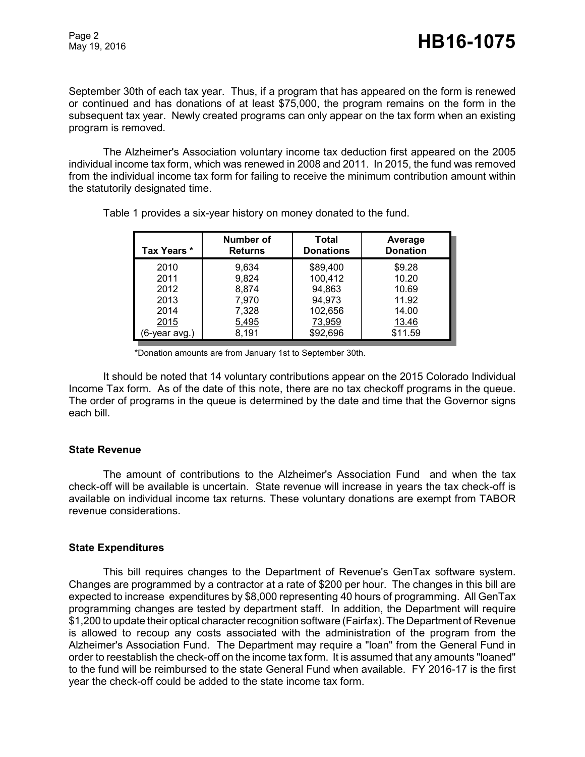September 30th of each tax year. Thus, if a program that has appeared on the form is renewed or continued and has donations of at least \$75,000, the program remains on the form in the subsequent tax year. Newly created programs can only appear on the tax form when an existing program is removed.

The Alzheimer's Association voluntary income tax deduction first appeared on the 2005 individual income tax form, which was renewed in 2008 and 2011. In 2015, the fund was removed from the individual income tax form for failing to receive the minimum contribution amount within the statutorily designated time.

| Tax Years *   | Number of<br><b>Returns</b> | Total<br><b>Donations</b> | Average<br><b>Donation</b> |
|---------------|-----------------------------|---------------------------|----------------------------|
| 2010          | 9,634                       | \$89,400                  | \$9.28                     |
| 2011          | 9,824                       | 100,412                   | 10.20                      |
| 2012          | 8,874                       | 94,863                    | 10.69                      |
| 2013          | 7,970                       | 94,973                    | 11.92                      |
| 2014          | 7,328                       | 102,656                   | 14.00                      |
| 2015          | 5,495                       | 73,959                    | 13.46                      |
| (6-year avg.) | 8,191                       | \$92,696                  | \$11.59                    |

Table 1 provides a six-year history on money donated to the fund.

\*Donation amounts are from January 1st to September 30th.

It should be noted that 14 voluntary contributions appear on the 2015 Colorado Individual Income Tax form. As of the date of this note, there are no tax checkoff programs in the queue. The order of programs in the queue is determined by the date and time that the Governor signs each bill.

#### **State Revenue**

The amount of contributions to the Alzheimer's Association Fund and when the tax check-off will be available is uncertain. State revenue will increase in years the tax check-off is available on individual income tax returns. These voluntary donations are exempt from TABOR revenue considerations.

#### **State Expenditures**

This bill requires changes to the Department of Revenue's GenTax software system. Changes are programmed by a contractor at a rate of \$200 per hour. The changes in this bill are expected to increase expenditures by \$8,000 representing 40 hours of programming. All GenTax programming changes are tested by department staff. In addition, the Department will require \$1,200 to update their optical character recognition software (Fairfax). The Department of Revenue is allowed to recoup any costs associated with the administration of the program from the Alzheimer's Association Fund. The Department may require a "loan" from the General Fund in order to reestablish the check-off on the income tax form. It is assumed that any amounts "loaned" to the fund will be reimbursed to the state General Fund when available. FY 2016-17 is the first year the check-off could be added to the state income tax form.